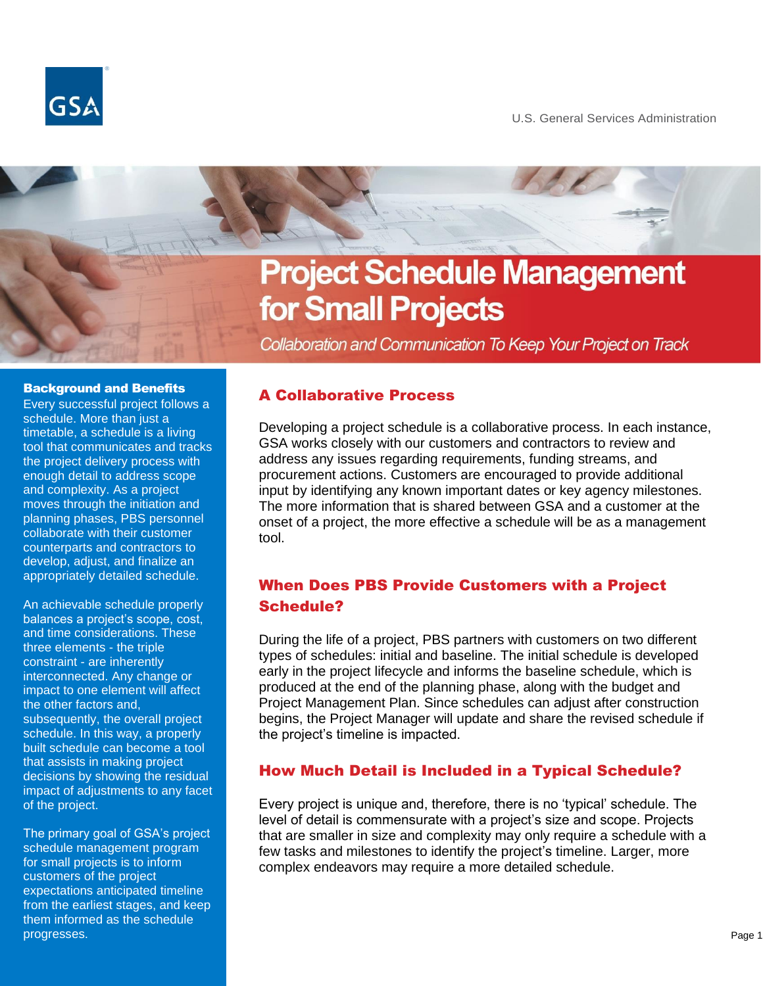



# for Small Projects

Collaboration and Communication To Keep Your Project on Track

#### Background and Benefits

Every successful project follows a schedule. More than just a timetable, a schedule is a living tool that communicates and tracks the project delivery process with enough detail to address scope and complexity. As a project moves through the initiation and planning phases, PBS personnel collaborate with their customer counterparts and contractors to develop, adjust, and finalize an appropriately detailed schedule.

An achievable schedule properly balances a project's scope, cost, and time considerations. These three elements - the triple constraint - are inherently interconnected. Any change or impact to one element will affect the other factors and, subsequently, the overall project schedule. In this way, a properly built schedule can become a tool that assists in making project decisions by showing the residual impact of adjustments to any facet of the project.

The primary goal of GSA's project schedule management program for small projects is to inform customers of the project expectations anticipated timeline from the earliest stages, and keep them informed as the schedule progresses.

#### A Collaborative Process

Developing a project schedule is a collaborative process. In each instance, GSA works closely with our customers and contractors to review and address any issues regarding requirements, funding streams, and procurement actions. Customers are encouraged to provide additional input by identifying any known important dates or key agency milestones. The more information that is shared between GSA and a customer at the onset of a project, the more effective a schedule will be as a management tool.

# When Does PBS Provide Customers with a Project Schedule?

During the life of a project, PBS partners with customers on two different types of schedules: initial and baseline. The initial schedule is developed early in the project lifecycle and informs the baseline schedule, which is produced at the end of the planning phase, along with the budget and Project Management Plan. Since schedules can adjust after construction begins, the Project Manager will update and share the revised schedule if the project's timeline is impacted.

### How Much Detail is Included in a Typical Schedule?

Every project is unique and, therefore, there is no 'typical' schedule. The level of detail is commensurate with a project's size and scope. Projects that are smaller in size and complexity may only require a schedule with a few tasks and milestones to identify the project's timeline. Larger, more complex endeavors may require a more detailed schedule.